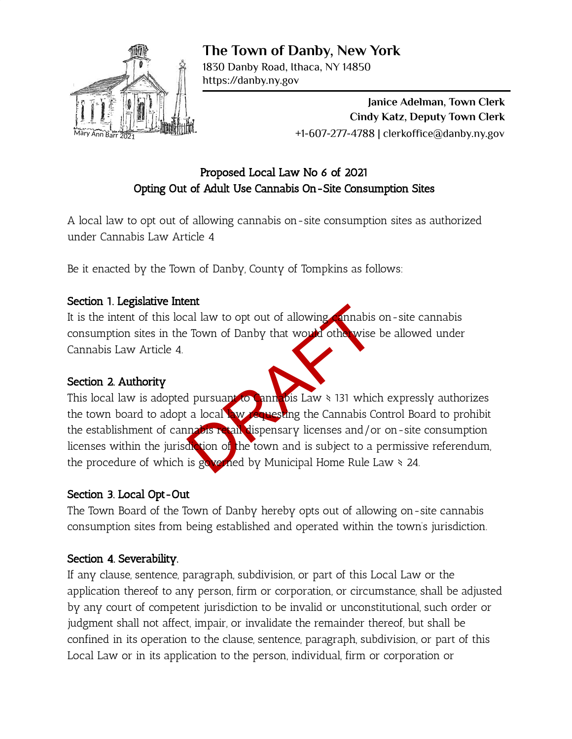

**The Town of Danby, New York**

1830 Danby Road, Ithaca, NY 14850 https://danby.ny.gov

> **Janice Adelman, Town Clerk Cindy Katz, Deputy Town Clerk** +1-607-277-4788 | clerkoffice@danby.ny.gov

# Proposed Local Law No 6 of 2021 Opting Out of Adult Use Cannabis On-Site Consumption Sites

A local law to opt out of allowing cannabis on-site consumption sites as authorized under Cannabis Law Article 4

Be it enacted by the Town of Danby, County of Tompkins as follows:

## Section 1. Legislative Intent

It is the intent of this local law to opt out of allowing cannabis on-site cannabis consumption sites in the Town of Danby that would otherwise be allowed under Cannabis Law Article 4.

## Section 2. Authority

The Sales of the World of Town of Danby that would other wise be a<br>discussion of Danby that would other wise be a<br>discussion of the World Sales of the Cannabis Control<br>in the town and is subject to a permis governed by Mun This local law is adopted pursuant to Cannabis Law \ 131 which expressly authorizes the town board to adopt a local law requesting the Cannabis Control Board to prohibit the establishment of cannabis retail dispensary licenses and/or on-site consumption licenses within the jurisdiction of the town and is subject to a permissive referendum, the procedure of which is governed by Municipal Home Rule Law  $\ge 24$ .

## Section 3. Local Opt-Out

The Town Board of the Town of Danby hereby opts out of allowing on-site cannabis consumption sites from being established and operated within the town's jurisdiction.

## Section 4. Severability.

If any clause, sentence, paragraph, subdivision, or part of this Local Law or the application thereof to any person, firm or corporation, or circumstance, shall be adjusted by any court of competent jurisdiction to be invalid or unconstitutional, such order or judgment shall not affect, impair, or invalidate the remainder thereof, but shall be confined in its operation to the clause, sentence, paragraph, subdivision, or part of this Local Law or in its application to the person, individual, firm or corporation or